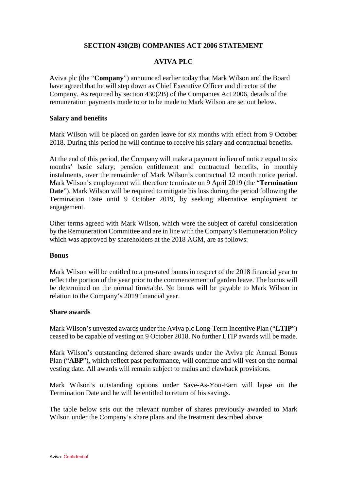## **SECTION 430(2B) COMPANIES ACT 2006 STATEMENT**

# **AVIVA PLC**

Aviva plc (the "**Company**") announced earlier today that Mark Wilson and the Board have agreed that he will step down as Chief Executive Officer and director of the Company. As required by section 430(2B) of the Companies Act 2006, details of the remuneration payments made to or to be made to Mark Wilson are set out below.

### **Salary and benefits**

Mark Wilson will be placed on garden leave for six months with effect from 9 October 2018. During this period he will continue to receive his salary and contractual benefits.

At the end of this period, the Company will make a payment in lieu of notice equal to six months' basic salary, pension entitlement and contractual benefits, in monthly instalments, over the remainder of Mark Wilson's contractual 12 month notice period. Mark Wilson's employment will therefore terminate on 9 April 2019 (the "**Termination Date**"). Mark Wilson will be required to mitigate his loss during the period following the Termination Date until 9 October 2019, by seeking alternative employment or engagement.

Other terms agreed with Mark Wilson, which were the subject of careful consideration by the Remuneration Committee and are in line with the Company's Remuneration Policy which was approved by shareholders at the 2018 AGM, are as follows:

#### **Bonus**

Mark Wilson will be entitled to a pro-rated bonus in respect of the 2018 financial year to reflect the portion of the year prior to the commencement of garden leave. The bonus will be determined on the normal timetable. No bonus will be payable to Mark Wilson in relation to the Company's 2019 financial year.

#### **Share awards**

Mark Wilson's unvested awards under the Aviva plc Long-Term Incentive Plan ("**LTIP**") ceased to be capable of vesting on 9 October 2018. No further LTIP awards will be made.

Mark Wilson's outstanding deferred share awards under the Aviva plc Annual Bonus Plan ("**ABP**"), which reflect past performance, will continue and will vest on the normal vesting date. All awards will remain subject to malus and clawback provisions.

Mark Wilson's outstanding options under Save-As-You-Earn will lapse on the Termination Date and he will be entitled to return of his savings.

The table below sets out the relevant number of shares previously awarded to Mark Wilson under the Company's share plans and the treatment described above.